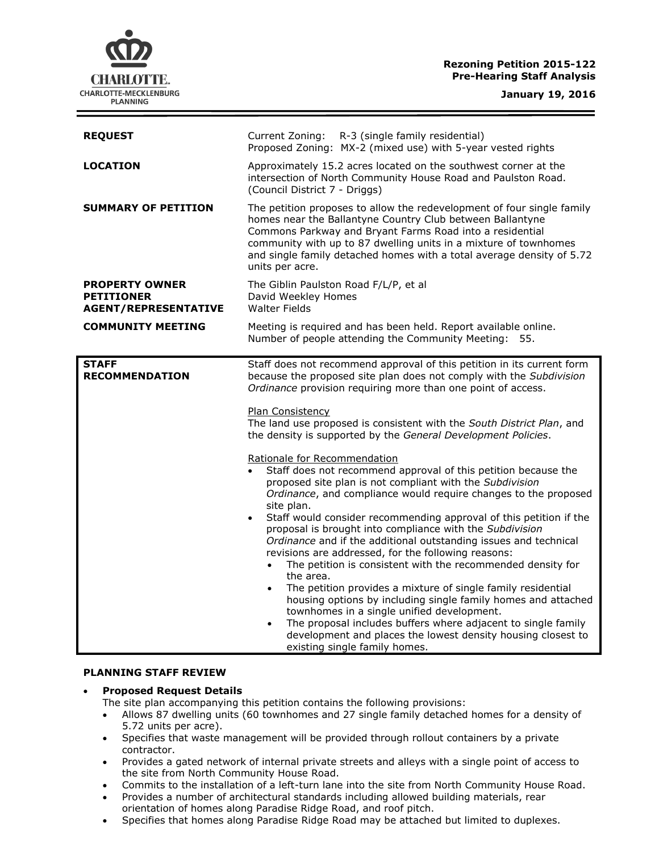## **Rezoning Petition 2015-122 Pre-Hearing Staff Analysis**

**CHARLOTTE.** CHARLOTTE-MECKLENBURG **PLANNING** 

| <b>REQUEST</b>                                                            | Current Zoning: R-3 (single family residential)<br>Proposed Zoning: MX-2 (mixed use) with 5-year vested rights                                                                                                                                                                                                                                                                                                                                                                                                                                                                                                                                                                                                                                                                                                                                                                                                                                                                                                                                                                                                                                                                                                                                                                                                                                              |  |
|---------------------------------------------------------------------------|-------------------------------------------------------------------------------------------------------------------------------------------------------------------------------------------------------------------------------------------------------------------------------------------------------------------------------------------------------------------------------------------------------------------------------------------------------------------------------------------------------------------------------------------------------------------------------------------------------------------------------------------------------------------------------------------------------------------------------------------------------------------------------------------------------------------------------------------------------------------------------------------------------------------------------------------------------------------------------------------------------------------------------------------------------------------------------------------------------------------------------------------------------------------------------------------------------------------------------------------------------------------------------------------------------------------------------------------------------------|--|
| <b>LOCATION</b>                                                           | Approximately 15.2 acres located on the southwest corner at the<br>intersection of North Community House Road and Paulston Road.<br>(Council District 7 - Driggs)                                                                                                                                                                                                                                                                                                                                                                                                                                                                                                                                                                                                                                                                                                                                                                                                                                                                                                                                                                                                                                                                                                                                                                                           |  |
| <b>SUMMARY OF PETITION</b>                                                | The petition proposes to allow the redevelopment of four single family<br>homes near the Ballantyne Country Club between Ballantyne<br>Commons Parkway and Bryant Farms Road into a residential<br>community with up to 87 dwelling units in a mixture of townhomes<br>and single family detached homes with a total average density of 5.72<br>units per acre.                                                                                                                                                                                                                                                                                                                                                                                                                                                                                                                                                                                                                                                                                                                                                                                                                                                                                                                                                                                             |  |
| <b>PROPERTY OWNER</b><br><b>PETITIONER</b><br><b>AGENT/REPRESENTATIVE</b> | The Giblin Paulston Road F/L/P, et al<br>David Weekley Homes<br><b>Walter Fields</b>                                                                                                                                                                                                                                                                                                                                                                                                                                                                                                                                                                                                                                                                                                                                                                                                                                                                                                                                                                                                                                                                                                                                                                                                                                                                        |  |
| <b>COMMUNITY MEETING</b>                                                  | Meeting is required and has been held. Report available online.<br>Number of people attending the Community Meeting: 55.                                                                                                                                                                                                                                                                                                                                                                                                                                                                                                                                                                                                                                                                                                                                                                                                                                                                                                                                                                                                                                                                                                                                                                                                                                    |  |
| <b>STAFF</b><br><b>RECOMMENDATION</b>                                     | Staff does not recommend approval of this petition in its current form<br>because the proposed site plan does not comply with the Subdivision<br>Ordinance provision requiring more than one point of access.<br>Plan Consistency<br>The land use proposed is consistent with the South District Plan, and<br>the density is supported by the General Development Policies.<br>Rationale for Recommendation<br>Staff does not recommend approval of this petition because the<br>proposed site plan is not compliant with the Subdivision<br>Ordinance, and compliance would require changes to the proposed<br>site plan.<br>Staff would consider recommending approval of this petition if the<br>$\bullet$<br>proposal is brought into compliance with the Subdivision<br>Ordinance and if the additional outstanding issues and technical<br>revisions are addressed, for the following reasons:<br>The petition is consistent with the recommended density for<br>the area.<br>The petition provides a mixture of single family residential<br>$\bullet$<br>housing options by including single family homes and attached<br>townhomes in a single unified development.<br>The proposal includes buffers where adjacent to single family<br>$\bullet$<br>development and places the lowest density housing closest to<br>existing single family homes. |  |

#### **PLANNING STAFF REVIEW**

### **Proposed Request Details**

- The site plan accompanying this petition contains the following provisions:
- Allows 87 dwelling units (60 townhomes and 27 single family detached homes for a density of 5.72 units per acre).
- Specifies that waste management will be provided through rollout containers by a private contractor.
- Provides a gated network of internal private streets and alleys with a single point of access to the site from North Community House Road.
- Commits to the installation of a left-turn lane into the site from North Community House Road.
- Provides a number of architectural standards including allowed building materials, rear orientation of homes along Paradise Ridge Road, and roof pitch.
- Specifies that homes along Paradise Ridge Road may be attached but limited to duplexes.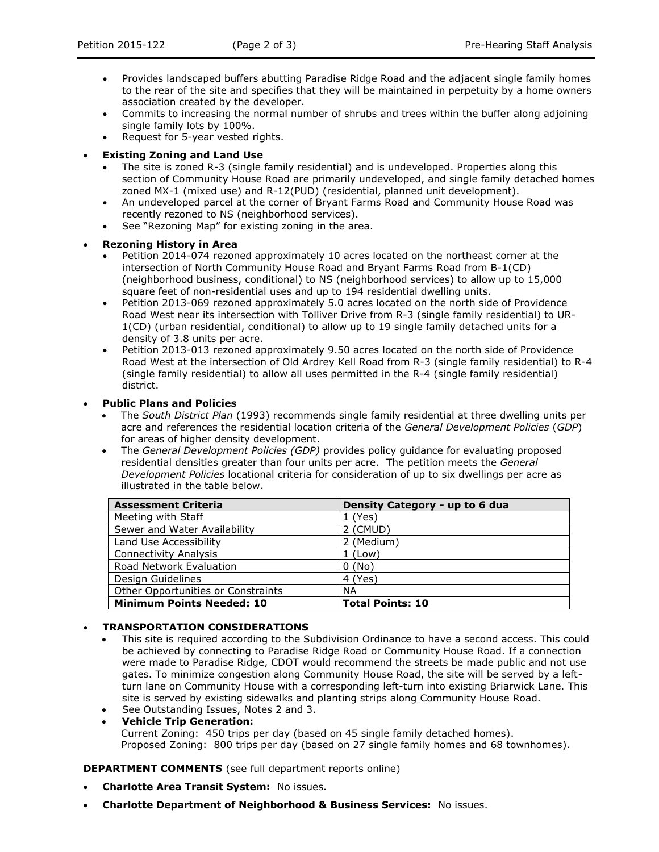- Provides landscaped buffers abutting Paradise Ridge Road and the adjacent single family homes to the rear of the site and specifies that they will be maintained in perpetuity by a home owners association created by the developer.
- Commits to increasing the normal number of shrubs and trees within the buffer along adjoining single family lots by 100%.
- Request for 5-year vested rights.

### **Existing Zoning and Land Use**

- The site is zoned R-3 (single family residential) and is undeveloped. Properties along this section of Community House Road are primarily undeveloped, and single family detached homes zoned MX-1 (mixed use) and R-12(PUD) (residential, planned unit development).
- An undeveloped parcel at the corner of Bryant Farms Road and Community House Road was recently rezoned to NS (neighborhood services).
- See "Rezoning Map" for existing zoning in the area.

### **Rezoning History in Area**

- Petition 2014-074 rezoned approximately 10 acres located on the northeast corner at the intersection of North Community House Road and Bryant Farms Road from B-1(CD) (neighborhood business, conditional) to NS (neighborhood services) to allow up to 15,000 square feet of non-residential uses and up to 194 residential dwelling units.
- Petition 2013-069 rezoned approximately 5.0 acres located on the north side of Providence Road West near its intersection with Tolliver Drive from R-3 (single family residential) to UR-1(CD) (urban residential, conditional) to allow up to 19 single family detached units for a density of 3.8 units per acre.
- Petition 2013-013 rezoned approximately 9.50 acres located on the north side of Providence Road West at the intersection of Old Ardrey Kell Road from R-3 (single family residential) to R-4 (single family residential) to allow all uses permitted in the R-4 (single family residential) district.

## **Public Plans and Policies**

- The *South District Plan* (1993) recommends single family residential at three dwelling units per acre and references the residential location criteria of the *General Development Policies* (*GDP*) for areas of higher density development.
- The *General Development Policies (GDP)* provides policy guidance for evaluating proposed residential densities greater than four units per acre. The petition meets the *General Development Policies* locational criteria for consideration of up to six dwellings per acre as illustrated in the table below.

| <b>Assessment Criteria</b>         | Density Category - up to 6 dua |
|------------------------------------|--------------------------------|
| Meeting with Staff                 | 1 (Yes)                        |
| Sewer and Water Availability       | 2 (CMUD)                       |
| Land Use Accessibility             | 2 (Medium)                     |
| <b>Connectivity Analysis</b>       | $1$ (Low)                      |
| Road Network Evaluation            | 0(No)                          |
| Design Guidelines                  | 4 (Yes)                        |
| Other Opportunities or Constraints | <b>NA</b>                      |
| <b>Minimum Points Needed: 10</b>   | <b>Total Points: 10</b>        |

# **TRANSPORTATION CONSIDERATIONS**

- This site is required according to the Subdivision Ordinance to have a second access. This could be achieved by connecting to Paradise Ridge Road or Community House Road. If a connection were made to Paradise Ridge, CDOT would recommend the streets be made public and not use gates. To minimize congestion along Community House Road, the site will be served by a leftturn lane on Community House with a corresponding left-turn into existing Briarwick Lane. This site is served by existing sidewalks and planting strips along Community House Road. See Outstanding Issues, Notes 2 and 3.
- **Vehicle Trip Generation:** Current Zoning: 450 trips per day (based on 45 single family detached homes). Proposed Zoning: 800 trips per day (based on 27 single family homes and 68 townhomes).

**DEPARTMENT COMMENTS** (see full department reports online)

- **Charlotte Area Transit System:** No issues.
- **Charlotte Department of Neighborhood & Business Services:** No issues.